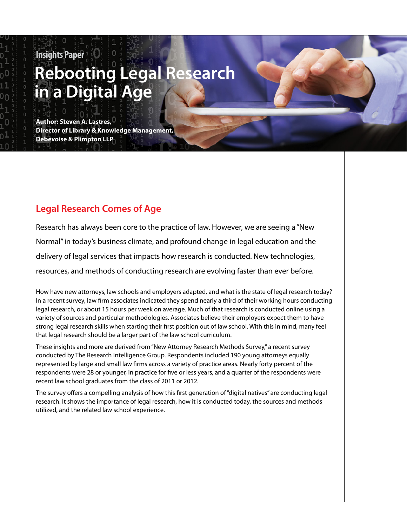# **Insights Paper Rebooting Legal Research in a Digital Age**

**Author: Steven A. Lastres, Director of Library & Knowledge Management, Debevoise & Plimpton LLP**

# **Legal Research Comes of Age**

Research has always been core to the practice of law. However, we are seeing a "New Normal" in today's business climate, and profound change in legal education and the delivery of legal services that impacts how research is conducted. New technologies, resources, and methods of conducting research are evolving faster than ever before.

1

How have new attorneys, law schools and employers adapted, and what is the state of legal research today? In a recent survey, law firm associates indicated they spend nearly a third of their working hours conducting legal research, or about 15 hours per week on average. Much of that research is conducted online using a variety of sources and particular methodologies. Associates believe their employers expect them to have strong legal research skills when starting their first position out of law school. With this in mind, many feel that legal research should be a larger part of the law school curriculum.

These insights and more are derived from "New Attorney Research Methods Survey," a recent survey conducted by The Research Intelligence Group. Respondents included 190 young attorneys equally represented by large and small law firms across a variety of practice areas. Nearly forty percent of the respondents were 28 or younger, in practice for five or less years, and a quarter of the respondents were recent law school graduates from the class of 2011 or 2012.

The survey offers a compelling analysis of how this first generation of "digital natives" are conducting legal research. It shows the importance of legal research, how it is conducted today, the sources and methods utilized, and the related law school experience.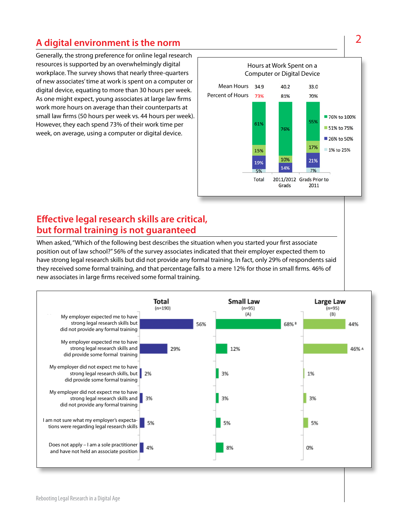# **A digital environment is the norm**

Generally, the strong preference for online legal research resources is supported by an overwhelmingly digital workplace. The survey shows that nearly three-quarters of new associates' time at work is spent on a computer or digital device, equating to more than 30 hours per week. As one might expect, young associates at large law firms work more hours on average than their counterparts at small law firms (50 hours per week vs. 44 hours per week). However, they each spend 73% of their work time per week, on average, using a computer or digital device.



### **Effective legal research skills are critical, but formal training is not guaranteed**

When asked, "Which of the following best describes the situation when you started your first associate position out of law school?" 56% of the survey associates indicated that their employer expected them to have strong legal research skills but did not provide any formal training. In fact, only 29% of respondents said they received some formal training, and that percentage falls to a mere 12% for those in small firms. 46% of new associates in large firms received some formal training.



2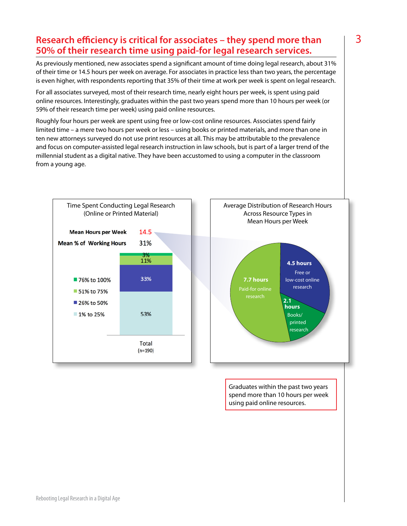### **Research efficiency is critical for associates – they spend more than 50% of their research time using paid-for legal research services.**

As previously mentioned, new associates spend a significant amount of time doing legal research, about 31% of their time or 14.5 hours per week on average. For associates in practice less than two years, the percentage is even higher, with respondents reporting that 35% of their time at work per week is spent on legal research.

For all associates surveyed, most of their research time, nearly eight hours per week, is spent using paid online resources. Interestingly, graduates within the past two years spend more than 10 hours per week (or 59% of their research time per week) using paid online resources.

Roughly four hours per week are spent using free or low-cost online resources. Associates spend fairly limited time – a mere two hours per week or less – using books or printed materials, and more than one in ten new attorneys surveyed do not use print resources at all. This may be attributable to the prevalence and focus on computer-assisted legal research instruction in law schools, but is part of a larger trend of the millennial student as a digital native. They have been accustomed to using a computer in the classroom from a young age.





Graduates within the past two years spend more than 10 hours per week using paid online resources.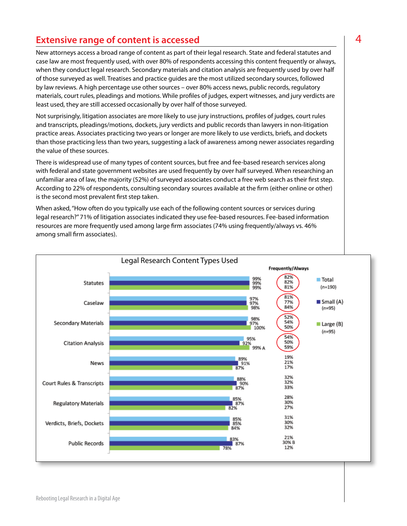## **Extensive range of content is accessed Accessive range of content is accessed Accessive Access**

New attorneys access a broad range of content as part of their legal research. State and federal statutes and case law are most frequently used, with over 80% of respondents accessing this content frequently or always, when they conduct legal research. Secondary materials and citation analysis are frequently used by over half of those surveyed as well. Treatises and practice guides are the most utilized secondary sources, followed by law reviews. A high percentage use other sources – over 80% access news, public records, regulatory materials, court rules, pleadings and motions. While profiles of judges, expert witnesses, and jury verdicts are least used, they are still accessed occasionally by over half of those surveyed.

Not surprisingly, litigation associates are more likely to use jury instructions, profiles of judges, court rules and transcripts, pleadings/motions, dockets, jury verdicts and public records than lawyers in non-litigation practice areas. Associates practicing two years or longer are more likely to use verdicts, briefs, and dockets than those practicing less than two years, suggesting a lack of awareness among newer associates regarding the value of these sources.

There is widespread use of many types of content sources, but free and fee-based research services along with federal and state government websites are used frequently by over half surveyed. When researching an unfamiliar area of law, the majority (52%) of surveyed associates conduct a free web search as their first step. According to 22% of respondents, consulting secondary sources available at the firm (either online or other) is the second most prevalent first step taken.

When asked, "How often do you typically use each of the following content sources or services during legal research?" 71% of litigation associates indicated they use fee-based resources. Fee-based information resources are more frequently used among large firm associates (74% using frequently/always vs. 46% among small firm associates).

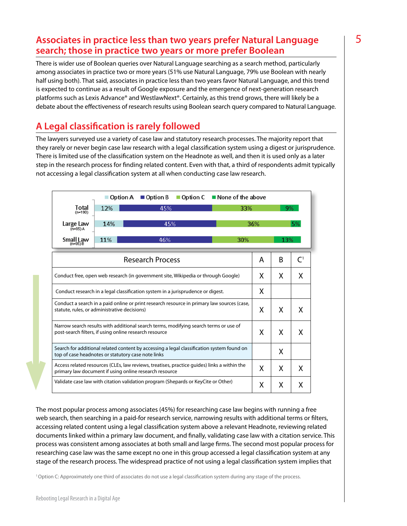#### **Associates in practice less than two years prefer Natural Language search; those in practice two years or more prefer Boolean**

There is wider use of Boolean queries over Natural Language searching as a search method, particularly among associates in practice two or more years (51% use Natural Language, 79% use Boolean with nearly half using both). That said, associates in practice less than two years favor Natural Language, and this trend is expected to continue as a result of Google exposure and the emergence of next-generation research platforms such as Lexis Advance® and WestlawNext®. Certainly, as this trend grows, there will likely be a debate about the effectiveness of research results using Boolean search query compared to Natural Language.

## **A Legal classification is rarely followed**

The lawyers surveyed use a variety of case law and statutory research processes. The majority report that they rarely or never begin case law research with a legal classification system using a digest or jurisprudence. There is limited use of the classification system on the Headnote as well, and then it is used only as a later step in the research process for finding related content. Even with that, a third of respondents admit typically not accessing a legal classification system at all when conducting case law research.

|                                                                                                                                                       | Option A   | Option B<br>Option C | ■ None of the above |   |           |                |
|-------------------------------------------------------------------------------------------------------------------------------------------------------|------------|----------------------|---------------------|---|-----------|----------------|
| Total<br>$(n=190)$                                                                                                                                    | 12%<br>45% |                      | 33%                 |   | 9%        |                |
| Large Law<br>$(n=95)$ A                                                                                                                               | 14%        | 45%                  |                     |   | 36%<br>5% |                |
| <b>Small Law</b><br>$(n=95)B$                                                                                                                         | 11%        | 46%                  | 30%                 |   | 13%       |                |
| <b>Research Process</b>                                                                                                                               |            |                      |                     | A | B         | C <sup>1</sup> |
| Conduct free, open web research (in government site, Wikipedia or through Google)                                                                     |            |                      |                     | X | X         | X.             |
| Conduct research in a legal classification system in a jurisprudence or digest.                                                                       |            |                      |                     | X |           |                |
| Conduct a search in a paid online or print research resource in primary law sources (case,<br>statute, rules, or administrative decisions)            |            |                      |                     | X | X         | X              |
| Narrow search results with additional search terms, modifying search terms or use of<br>post-search filters, if using online research resource        |            |                      |                     | X | X         | X              |
| Search for additional related content by accessing a legal classification system found on<br>top of case headnotes or statutory case note links       |            |                      |                     |   | X         |                |
| Access related resources (CLEs, law reviews, treatises, practice quides) links a within the<br>primary law document if using online research resource |            |                      |                     | X | X         | X              |
| Validate case law with citation validation program (Shepards or KeyCite or Other)                                                                     |            |                      |                     |   | X         | X              |

The most popular process among associates (45%) for researching case law begins with running a free web search, then searching in a paid-for research service, narrowing results with additional terms or filters, accessing related content using a legal classification system above a relevant Headnote, reviewing related documents linked within a primary law document, and finally, validating case law with a citation service. This process was consistent among associates at both small and large firms. The second most popular process for researching case law was the same except no one in this group accessed a legal classification system at any stage of the research process. The widespread practice of not using a legal classification system implies that

1 Option C: Approximately one third of associates do not use a legal classification system during any stage of the process.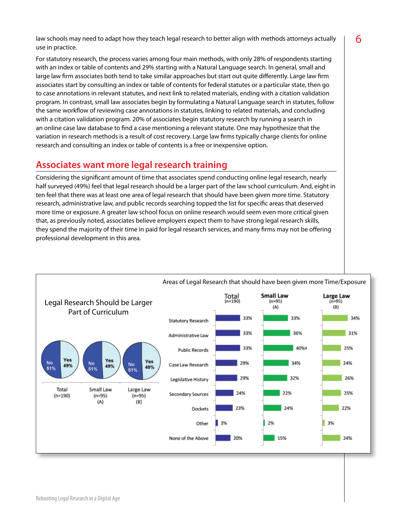law schools may need to adapt how they teach legal research to better align with methods attorneys actually  $\begin{bmatrix} 6 \end{bmatrix}$ use in practice.

For statutory research, the process varies among four main methods, with only 28% of respondents starting with an index or table of contents and 29% starting with a Natural Language search. In general, small and large law firm associates both tend to take similar approaches but start out quite differently. Large law firm associates start by consulting an index or table of contents for federal statutes or a particular state, then go to case annotations in relevant statutes, and next link to related materials, ending with a citation validation program. In contrast, small law associates begin by formulating a Natural Language search in statutes, follow the same workflow of reviewing case annotations in statutes, linking to related materials, and concluding with a citation validation program. 20% of associates begin statutory research by running a search in an online case law database to find a case mentioning a relevant statute. One may hypothesize that the variation in research methods is a result of cost recovery. Large law firms typically charge clients for online research and consulting an index or table of contents is a free or inexpensive option.

### **Associates want more legal research training**

Considering the significant amount of time that associates spend conducting online legal research, nearly half surveyed (49%) feel that legal research should be a larger part of the law school curriculum. And, eight in ten feel that there was at least one area of legal research that should have been given more time. Statutory research, administrative law, and public records searching topped the list for specific areas that deserved more time or exposure. A greater law school focus on online research would seem even more critical given that, as previously noted, associates believe employers expect them to have strong legal research skills, they spend the majority of their time in paid for legal research services, and many firms may not be offering professional development in this area.

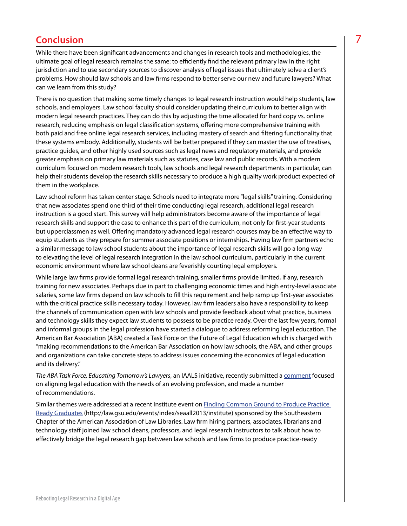# **Conclusion** 7

While there have been significant advancements and changes in research tools and methodologies, the ultimate goal of legal research remains the same: to efficiently find the relevant primary law in the right jurisdiction and to use secondary sources to discover analysis of legal issues that ultimately solve a client's problems. How should law schools and law firms respond to better serve our new and future lawyers? What can we learn from this study?

There is no question that making some timely changes to legal research instruction would help students, law schools, and employers. Law school faculty should consider updating their curriculum to better align with modern legal research practices. They can do this by adjusting the time allocated for hard copy vs. online research, reducing emphasis on legal classification systems, offering more comprehensive training with both paid and free online legal research services, including mastery of search and filtering functionality that these systems embody. Additionally, students will be better prepared if they can master the use of treatises, practice guides, and other highly used sources such as legal news and regulatory materials, and provide greater emphasis on primary law materials such as statutes, case law and public records. With a modern curriculum focused on modern research tools, law schools and legal research departments in particular, can help their students develop the research skills necessary to produce a high quality work product expected of them in the workplace.

Law school reform has taken center stage. Schools need to integrate more "legal skills" training. Considering that new associates spend one third of their time conducting legal research, additional legal research instruction is a good start. This survey will help administrators become aware of the importance of legal research skills and support the case to enhance this part of the curriculum, not only for first-year students but upperclassmen as well. Offering mandatory advanced legal research courses may be an effective way to equip students as they prepare for summer associate positions or internships. Having law firm partners echo a similar message to law school students about the importance of legal research skills will go a long way to elevating the level of legal research integration in the law school curriculum, particularly in the current economic environment where law school deans are feverishly courting legal employers.

While large law firms provide formal legal research training, smaller firms provide limited, if any, research training for new associates. Perhaps due in part to challenging economic times and high entry-level associate salaries, some law firms depend on law schools to fill this requirement and help ramp up first-year associates with the critical practice skills necessary today. However, law firm leaders also have a responsibility to keep the channels of communication open with law schools and provide feedback about what practice, business and technology skills they expect law students to possess to be practice ready. Over the last few years, formal and informal groups in the legal profession have started a dialogue to address reforming legal education. The American Bar Association (ABA) created a Task Force on the Future of Legal Education which is charged with "making recommendations to the American Bar Association on how law schools, the ABA, and other groups and organizations can take concrete steps to address issues concerning the economics of legal education and its delivery."

*The ABA Task Force, Educating Tomorrow's Lawyers*, an IAALS initiative, recently submitted a [comment](http://www.americanbar.org/content/dam/aba/administrative/professional_responsibility/taskforcecomments/201302_iaals_comment.authcheckdam.pdf) focused on aligning legal education with the needs of an evolving profession, and made a number of recommendations.

Similar themes were addressed at a recent Institute event on [Finding Common Ground to Produce Practice](http://law.gsu.edu/events/index/seaall2013/institute)  [Ready Graduates](http://law.gsu.edu/events/index/seaall2013/institute) [\(http://law.gsu.edu/events/index/seaall2013/institute](http://law.gsu.edu/events/index/seaall2013/institute)) sponsored by the Southeastern Chapter of the American Association of Law Libraries. Law firm hiring partners, associates, librarians and technology staff joined law school deans, professors, and legal research instructors to talk about how to effectively bridge the legal research gap between law schools and law firms to produce practice-ready

Rebooting Legal Research in a Digital Age